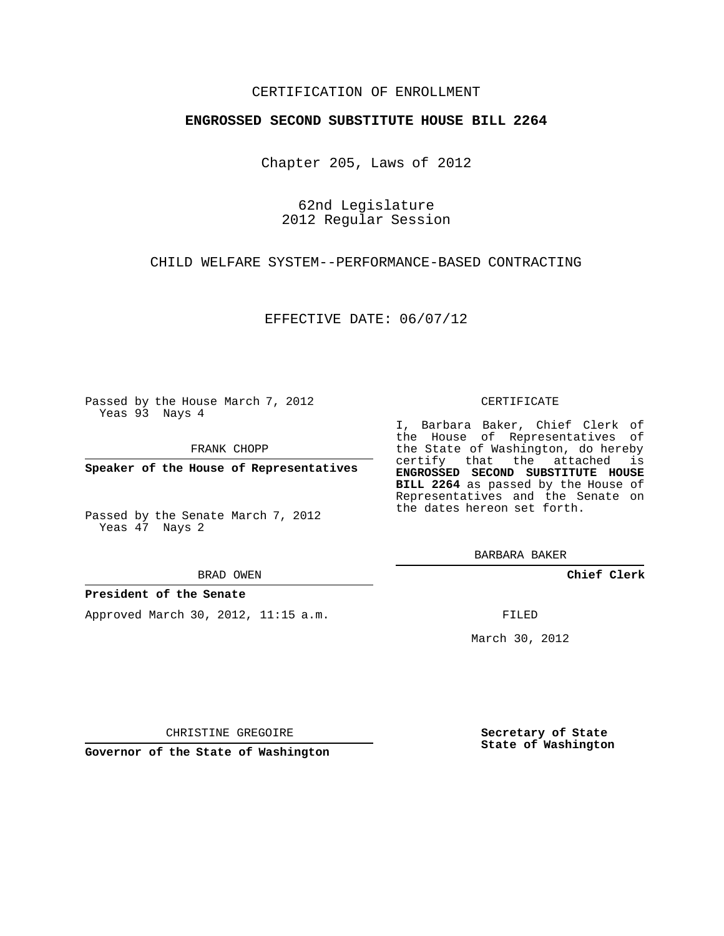## CERTIFICATION OF ENROLLMENT

### **ENGROSSED SECOND SUBSTITUTE HOUSE BILL 2264**

Chapter 205, Laws of 2012

62nd Legislature 2012 Regular Session

CHILD WELFARE SYSTEM--PERFORMANCE-BASED CONTRACTING

EFFECTIVE DATE: 06/07/12

Passed by the House March 7, 2012 Yeas 93 Nays 4

FRANK CHOPP

**Speaker of the House of Representatives**

Passed by the Senate March 7, 2012 Yeas 47 Nays 2

BRAD OWEN

### **President of the Senate**

Approved March 30, 2012, 11:15 a.m.

#### CERTIFICATE

I, Barbara Baker, Chief Clerk of the House of Representatives of the State of Washington, do hereby certify that the attached is **ENGROSSED SECOND SUBSTITUTE HOUSE BILL 2264** as passed by the House of Representatives and the Senate on the dates hereon set forth.

BARBARA BAKER

**Chief Clerk**

FILED

March 30, 2012

**Secretary of State State of Washington**

CHRISTINE GREGOIRE

**Governor of the State of Washington**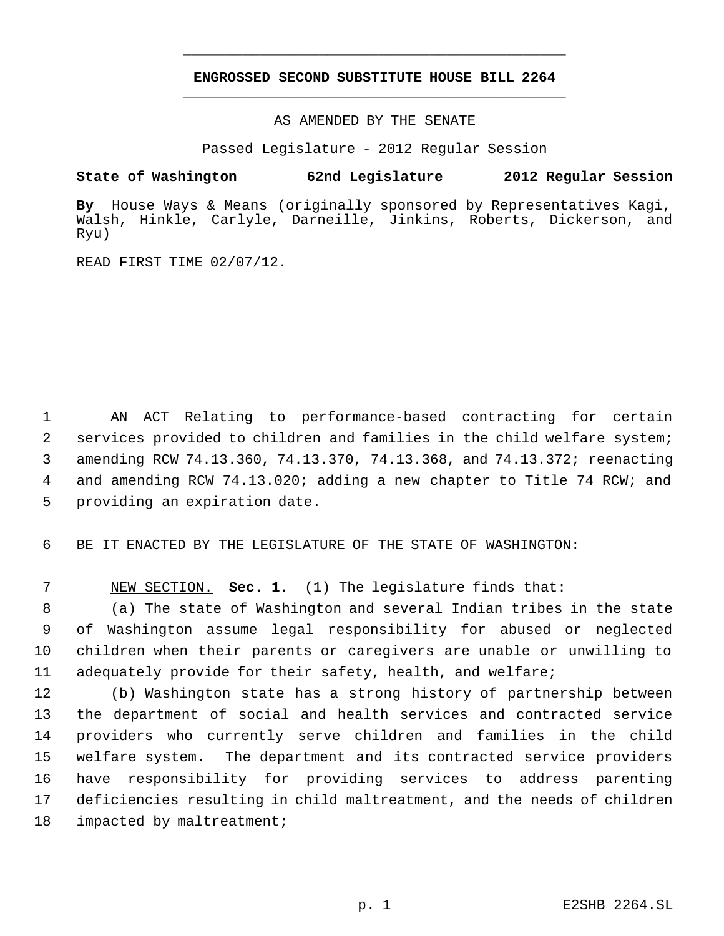# **ENGROSSED SECOND SUBSTITUTE HOUSE BILL 2264** \_\_\_\_\_\_\_\_\_\_\_\_\_\_\_\_\_\_\_\_\_\_\_\_\_\_\_\_\_\_\_\_\_\_\_\_\_\_\_\_\_\_\_\_\_

\_\_\_\_\_\_\_\_\_\_\_\_\_\_\_\_\_\_\_\_\_\_\_\_\_\_\_\_\_\_\_\_\_\_\_\_\_\_\_\_\_\_\_\_\_

AS AMENDED BY THE SENATE

Passed Legislature - 2012 Regular Session

## **State of Washington 62nd Legislature 2012 Regular Session**

**By** House Ways & Means (originally sponsored by Representatives Kagi, Walsh, Hinkle, Carlyle, Darneille, Jinkins, Roberts, Dickerson, and Ryu)

READ FIRST TIME 02/07/12.

 AN ACT Relating to performance-based contracting for certain services provided to children and families in the child welfare system; amending RCW 74.13.360, 74.13.370, 74.13.368, and 74.13.372; reenacting 4 and amending RCW 74.13.020; adding a new chapter to Title 74 RCW; and providing an expiration date.

6 BE IT ENACTED BY THE LEGISLATURE OF THE STATE OF WASHINGTON:

7 NEW SECTION. **Sec. 1.** (1) The legislature finds that:

 (a) The state of Washington and several Indian tribes in the state of Washington assume legal responsibility for abused or neglected children when their parents or caregivers are unable or unwilling to adequately provide for their safety, health, and welfare;

 (b) Washington state has a strong history of partnership between the department of social and health services and contracted service providers who currently serve children and families in the child welfare system. The department and its contracted service providers have responsibility for providing services to address parenting deficiencies resulting in child maltreatment, and the needs of children 18 impacted by maltreatment;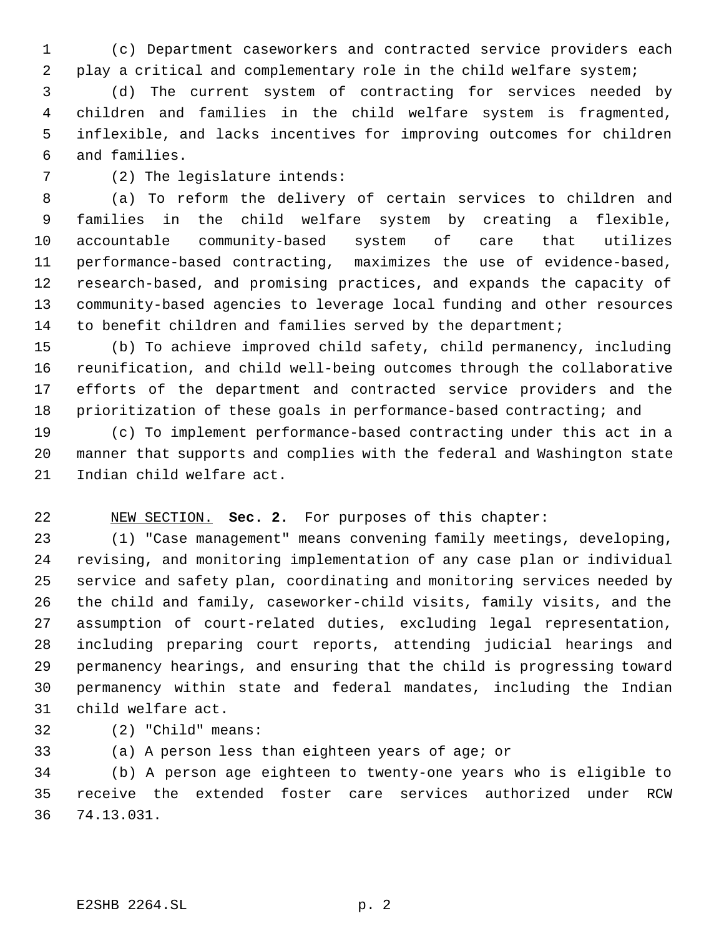(c) Department caseworkers and contracted service providers each play a critical and complementary role in the child welfare system;

 (d) The current system of contracting for services needed by children and families in the child welfare system is fragmented, inflexible, and lacks incentives for improving outcomes for children and families.

(2) The legislature intends:

 (a) To reform the delivery of certain services to children and families in the child welfare system by creating a flexible, accountable community-based system of care that utilizes performance-based contracting, maximizes the use of evidence-based, research-based, and promising practices, and expands the capacity of community-based agencies to leverage local funding and other resources to benefit children and families served by the department;

 (b) To achieve improved child safety, child permanency, including reunification, and child well-being outcomes through the collaborative efforts of the department and contracted service providers and the prioritization of these goals in performance-based contracting; and

 (c) To implement performance-based contracting under this act in a manner that supports and complies with the federal and Washington state Indian child welfare act.

# NEW SECTION. **Sec. 2.** For purposes of this chapter:

 (1) "Case management" means convening family meetings, developing, revising, and monitoring implementation of any case plan or individual service and safety plan, coordinating and monitoring services needed by the child and family, caseworker-child visits, family visits, and the assumption of court-related duties, excluding legal representation, including preparing court reports, attending judicial hearings and permanency hearings, and ensuring that the child is progressing toward permanency within state and federal mandates, including the Indian child welfare act.

(2) "Child" means:

(a) A person less than eighteen years of age; or

 (b) A person age eighteen to twenty-one years who is eligible to receive the extended foster care services authorized under RCW 74.13.031.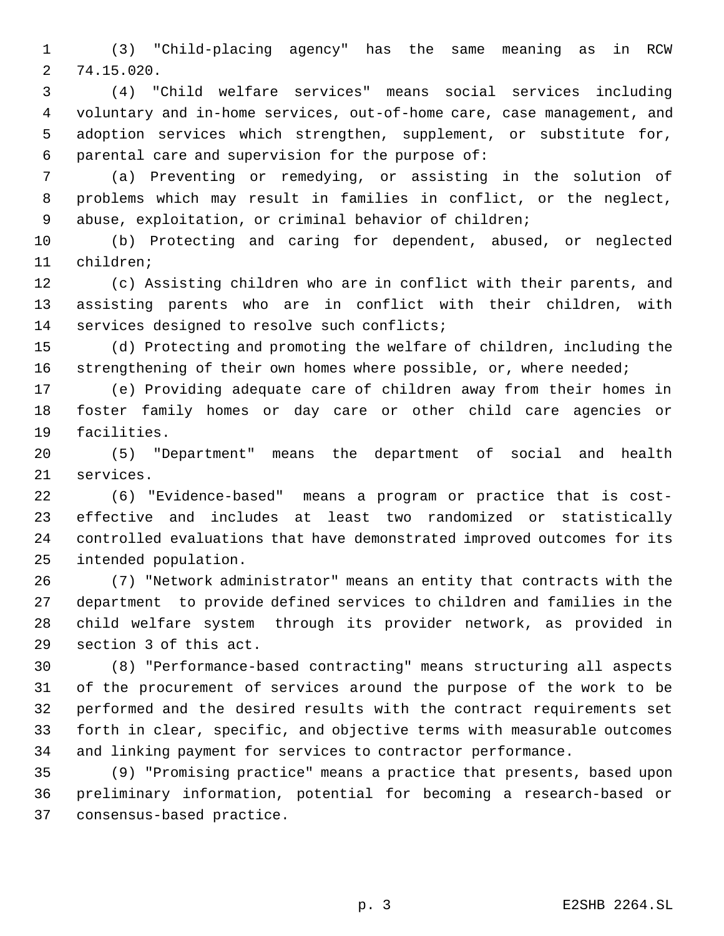(3) "Child-placing agency" has the same meaning as in RCW 74.15.020.

 (4) "Child welfare services" means social services including voluntary and in-home services, out-of-home care, case management, and adoption services which strengthen, supplement, or substitute for, parental care and supervision for the purpose of:

 (a) Preventing or remedying, or assisting in the solution of problems which may result in families in conflict, or the neglect, abuse, exploitation, or criminal behavior of children;

 (b) Protecting and caring for dependent, abused, or neglected children;

 (c) Assisting children who are in conflict with their parents, and assisting parents who are in conflict with their children, with services designed to resolve such conflicts;

 (d) Protecting and promoting the welfare of children, including the 16 strengthening of their own homes where possible, or, where needed;

 (e) Providing adequate care of children away from their homes in foster family homes or day care or other child care agencies or facilities.

 (5) "Department" means the department of social and health services.

 (6) "Evidence-based" means a program or practice that is cost- effective and includes at least two randomized or statistically controlled evaluations that have demonstrated improved outcomes for its intended population.

 (7) "Network administrator" means an entity that contracts with the department to provide defined services to children and families in the child welfare system through its provider network, as provided in section 3 of this act.

 (8) "Performance-based contracting" means structuring all aspects of the procurement of services around the purpose of the work to be performed and the desired results with the contract requirements set forth in clear, specific, and objective terms with measurable outcomes and linking payment for services to contractor performance.

 (9) "Promising practice" means a practice that presents, based upon preliminary information, potential for becoming a research-based or consensus-based practice.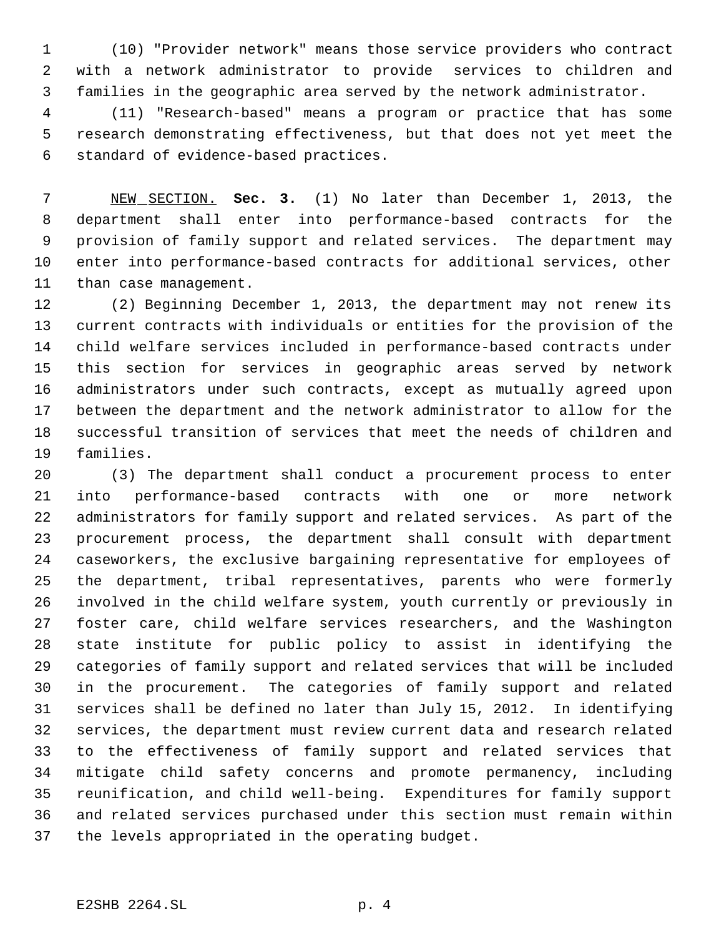(10) "Provider network" means those service providers who contract with a network administrator to provide services to children and families in the geographic area served by the network administrator.

 (11) "Research-based" means a program or practice that has some research demonstrating effectiveness, but that does not yet meet the standard of evidence-based practices.

 NEW SECTION. **Sec. 3.** (1) No later than December 1, 2013, the department shall enter into performance-based contracts for the provision of family support and related services. The department may enter into performance-based contracts for additional services, other than case management.

 (2) Beginning December 1, 2013, the department may not renew its current contracts with individuals or entities for the provision of the child welfare services included in performance-based contracts under this section for services in geographic areas served by network administrators under such contracts, except as mutually agreed upon between the department and the network administrator to allow for the successful transition of services that meet the needs of children and families.

 (3) The department shall conduct a procurement process to enter into performance-based contracts with one or more network administrators for family support and related services. As part of the procurement process, the department shall consult with department caseworkers, the exclusive bargaining representative for employees of the department, tribal representatives, parents who were formerly involved in the child welfare system, youth currently or previously in foster care, child welfare services researchers, and the Washington state institute for public policy to assist in identifying the categories of family support and related services that will be included in the procurement. The categories of family support and related services shall be defined no later than July 15, 2012. In identifying services, the department must review current data and research related to the effectiveness of family support and related services that mitigate child safety concerns and promote permanency, including reunification, and child well-being. Expenditures for family support and related services purchased under this section must remain within the levels appropriated in the operating budget.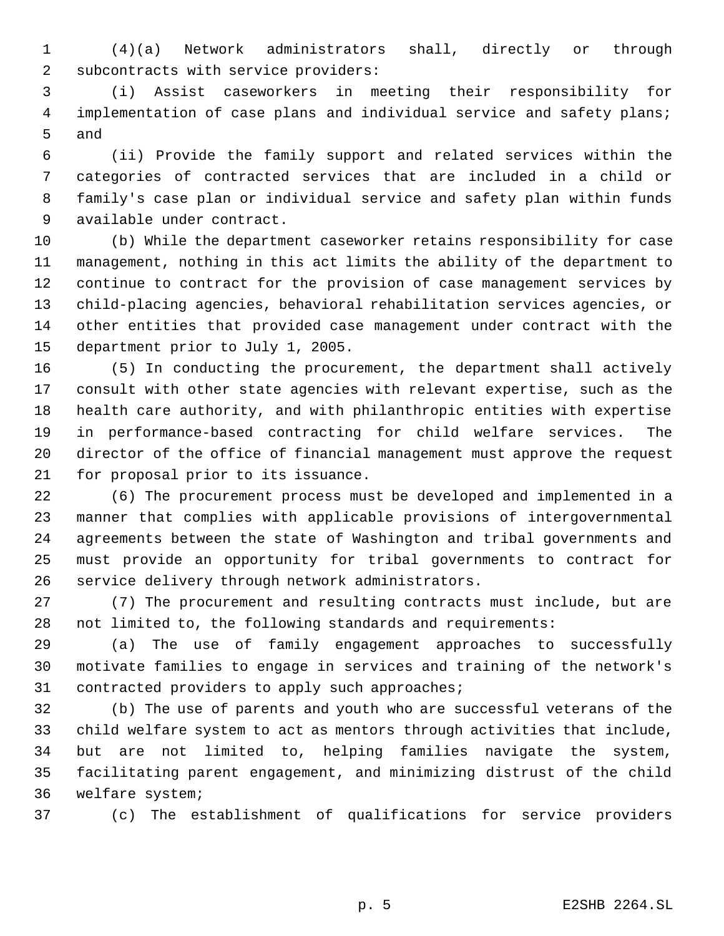(4)(a) Network administrators shall, directly or through subcontracts with service providers:

 (i) Assist caseworkers in meeting their responsibility for implementation of case plans and individual service and safety plans; and

 (ii) Provide the family support and related services within the categories of contracted services that are included in a child or family's case plan or individual service and safety plan within funds available under contract.

 (b) While the department caseworker retains responsibility for case management, nothing in this act limits the ability of the department to continue to contract for the provision of case management services by child-placing agencies, behavioral rehabilitation services agencies, or other entities that provided case management under contract with the department prior to July 1, 2005.

 (5) In conducting the procurement, the department shall actively consult with other state agencies with relevant expertise, such as the health care authority, and with philanthropic entities with expertise in performance-based contracting for child welfare services. The director of the office of financial management must approve the request for proposal prior to its issuance.

 (6) The procurement process must be developed and implemented in a manner that complies with applicable provisions of intergovernmental agreements between the state of Washington and tribal governments and must provide an opportunity for tribal governments to contract for service delivery through network administrators.

 (7) The procurement and resulting contracts must include, but are not limited to, the following standards and requirements:

 (a) The use of family engagement approaches to successfully motivate families to engage in services and training of the network's contracted providers to apply such approaches;

 (b) The use of parents and youth who are successful veterans of the child welfare system to act as mentors through activities that include, but are not limited to, helping families navigate the system, facilitating parent engagement, and minimizing distrust of the child welfare system;

(c) The establishment of qualifications for service providers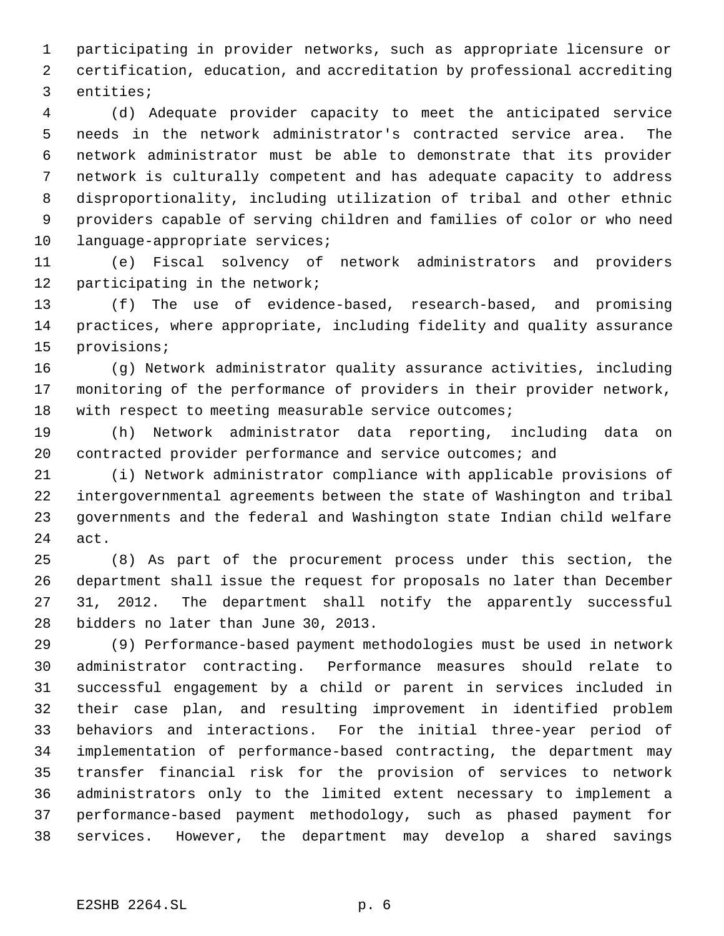participating in provider networks, such as appropriate licensure or certification, education, and accreditation by professional accrediting entities;

 (d) Adequate provider capacity to meet the anticipated service needs in the network administrator's contracted service area. The network administrator must be able to demonstrate that its provider network is culturally competent and has adequate capacity to address disproportionality, including utilization of tribal and other ethnic providers capable of serving children and families of color or who need language-appropriate services;

 (e) Fiscal solvency of network administrators and providers participating in the network;

 (f) The use of evidence-based, research-based, and promising practices, where appropriate, including fidelity and quality assurance provisions;

 (g) Network administrator quality assurance activities, including monitoring of the performance of providers in their provider network, with respect to meeting measurable service outcomes;

 (h) Network administrator data reporting, including data on 20 contracted provider performance and service outcomes; and

 (i) Network administrator compliance with applicable provisions of intergovernmental agreements between the state of Washington and tribal governments and the federal and Washington state Indian child welfare act.

 (8) As part of the procurement process under this section, the department shall issue the request for proposals no later than December 31, 2012. The department shall notify the apparently successful bidders no later than June 30, 2013.

 (9) Performance-based payment methodologies must be used in network administrator contracting. Performance measures should relate to successful engagement by a child or parent in services included in their case plan, and resulting improvement in identified problem behaviors and interactions. For the initial three-year period of implementation of performance-based contracting, the department may transfer financial risk for the provision of services to network administrators only to the limited extent necessary to implement a performance-based payment methodology, such as phased payment for services. However, the department may develop a shared savings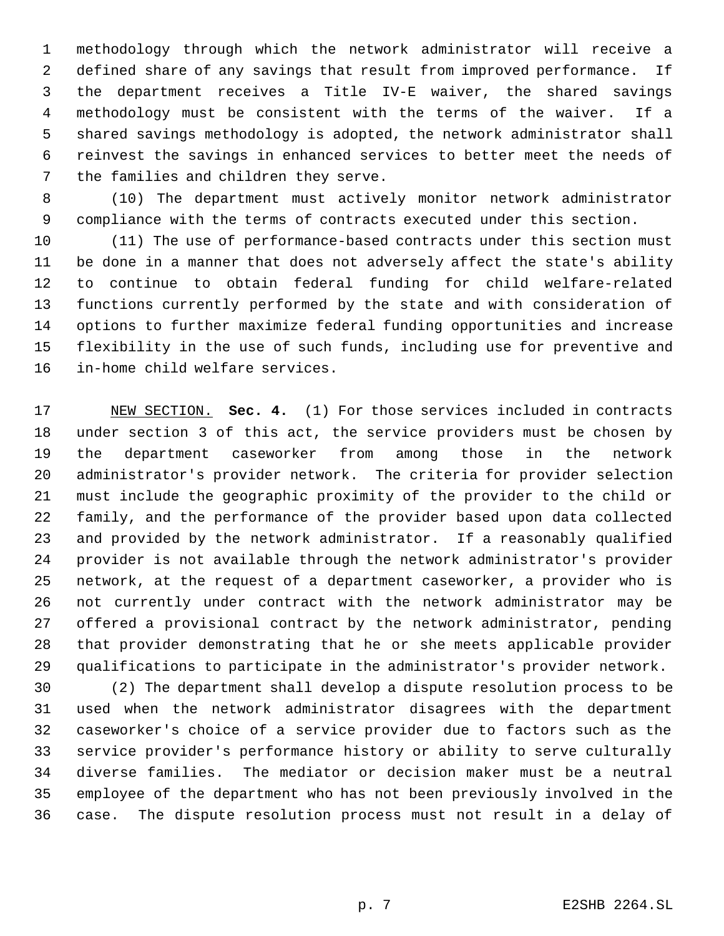methodology through which the network administrator will receive a defined share of any savings that result from improved performance. If the department receives a Title IV-E waiver, the shared savings methodology must be consistent with the terms of the waiver. If a shared savings methodology is adopted, the network administrator shall reinvest the savings in enhanced services to better meet the needs of the families and children they serve.

 (10) The department must actively monitor network administrator compliance with the terms of contracts executed under this section.

 (11) The use of performance-based contracts under this section must be done in a manner that does not adversely affect the state's ability to continue to obtain federal funding for child welfare-related functions currently performed by the state and with consideration of options to further maximize federal funding opportunities and increase flexibility in the use of such funds, including use for preventive and in-home child welfare services.

 NEW SECTION. **Sec. 4.** (1) For those services included in contracts under section 3 of this act, the service providers must be chosen by the department caseworker from among those in the network administrator's provider network. The criteria for provider selection must include the geographic proximity of the provider to the child or family, and the performance of the provider based upon data collected and provided by the network administrator. If a reasonably qualified provider is not available through the network administrator's provider network, at the request of a department caseworker, a provider who is not currently under contract with the network administrator may be offered a provisional contract by the network administrator, pending that provider demonstrating that he or she meets applicable provider qualifications to participate in the administrator's provider network.

 (2) The department shall develop a dispute resolution process to be used when the network administrator disagrees with the department caseworker's choice of a service provider due to factors such as the service provider's performance history or ability to serve culturally diverse families. The mediator or decision maker must be a neutral employee of the department who has not been previously involved in the case. The dispute resolution process must not result in a delay of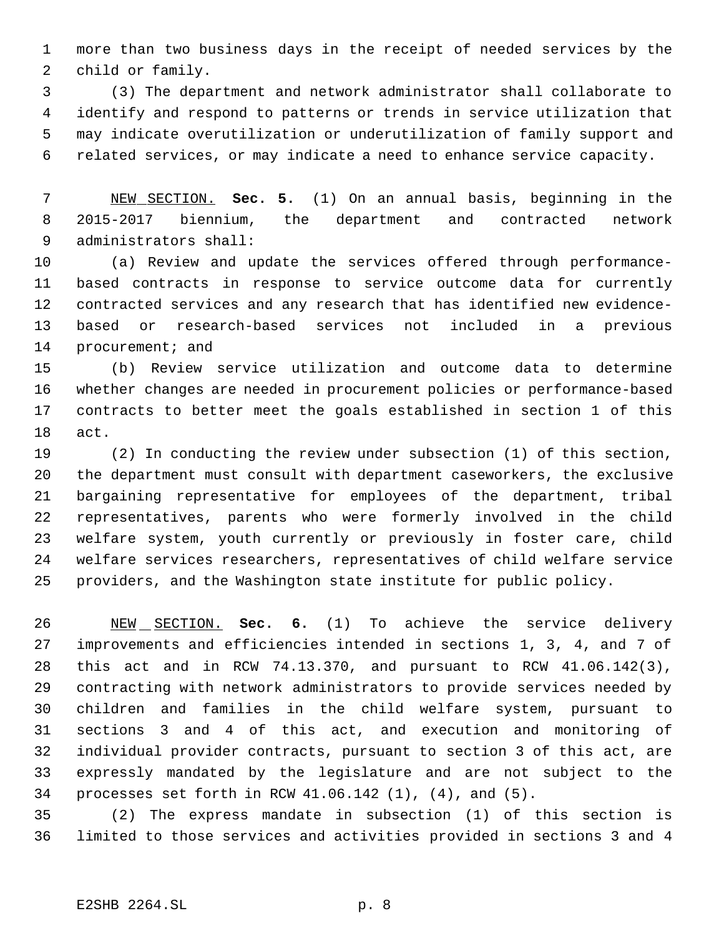more than two business days in the receipt of needed services by the child or family.

 (3) The department and network administrator shall collaborate to identify and respond to patterns or trends in service utilization that may indicate overutilization or underutilization of family support and related services, or may indicate a need to enhance service capacity.

 NEW SECTION. **Sec. 5.** (1) On an annual basis, beginning in the 2015-2017 biennium, the department and contracted network administrators shall:

 (a) Review and update the services offered through performance- based contracts in response to service outcome data for currently contracted services and any research that has identified new evidence- based or research-based services not included in a previous 14 procurement; and

 (b) Review service utilization and outcome data to determine whether changes are needed in procurement policies or performance-based contracts to better meet the goals established in section 1 of this act.

 (2) In conducting the review under subsection (1) of this section, the department must consult with department caseworkers, the exclusive bargaining representative for employees of the department, tribal representatives, parents who were formerly involved in the child welfare system, youth currently or previously in foster care, child welfare services researchers, representatives of child welfare service providers, and the Washington state institute for public policy.

 NEW SECTION. **Sec. 6.** (1) To achieve the service delivery improvements and efficiencies intended in sections 1, 3, 4, and 7 of this act and in RCW 74.13.370, and pursuant to RCW 41.06.142(3), contracting with network administrators to provide services needed by children and families in the child welfare system, pursuant to sections 3 and 4 of this act, and execution and monitoring of individual provider contracts, pursuant to section 3 of this act, are expressly mandated by the legislature and are not subject to the processes set forth in RCW 41.06.142 (1), (4), and (5).

 (2) The express mandate in subsection (1) of this section is limited to those services and activities provided in sections 3 and 4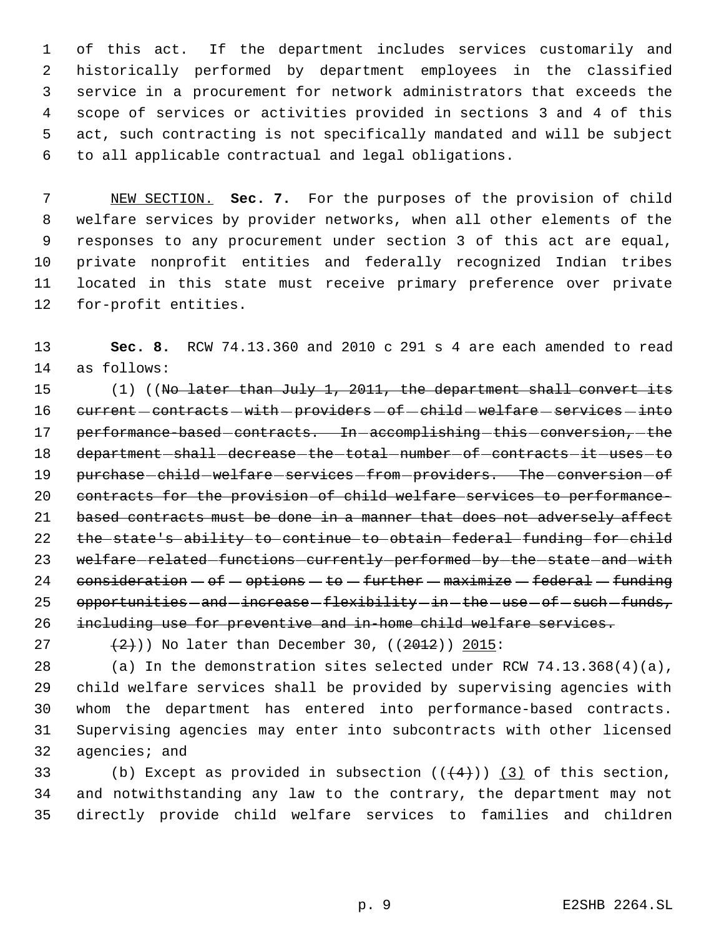of this act. If the department includes services customarily and historically performed by department employees in the classified service in a procurement for network administrators that exceeds the scope of services or activities provided in sections 3 and 4 of this act, such contracting is not specifically mandated and will be subject to all applicable contractual and legal obligations.

 NEW SECTION. **Sec. 7.** For the purposes of the provision of child welfare services by provider networks, when all other elements of the responses to any procurement under section 3 of this act are equal, private nonprofit entities and federally recognized Indian tribes located in this state must receive primary preference over private for-profit entities.

 **Sec. 8.** RCW 74.13.360 and 2010 c 291 s 4 are each amended to read as follows:

15 (1) ((No later than July 1, 2011, the department shall convert its 16 current - contracts - with - providers - of - child - welfare - services - into 17 performance-based-contracts. In-accomplishing-this-conversion,-the 18 department-shall-decrease-the-total-number-of-contracts-it-uses-to 19 purchase-child-welfare-services-from-providers. The-conversion-of contracts for the provision of child welfare services to performance-21 based contracts must be done in a manner that does not adversely affect the state's ability to continue to obtain federal funding for child 23 welfare-related-functions-currently-performed-by-the-state-and-with 24 consideration  $-$  of  $-$  options  $-$  to  $-$  further  $-$  maximize  $-$  federal  $-$  funding 25 opportunities - and - increase - flexibility - in - the - use - of - such - funds, including use for preventive and in-home child welfare services.

27  $(2+)$ ) No later than December 30,  $(2012)$  2015:

 (a) In the demonstration sites selected under RCW 74.13.368(4)(a), child welfare services shall be provided by supervising agencies with whom the department has entered into performance-based contracts. Supervising agencies may enter into subcontracts with other licensed agencies; and

33 (b) Except as provided in subsection  $((+4))$  (3) of this section, and notwithstanding any law to the contrary, the department may not directly provide child welfare services to families and children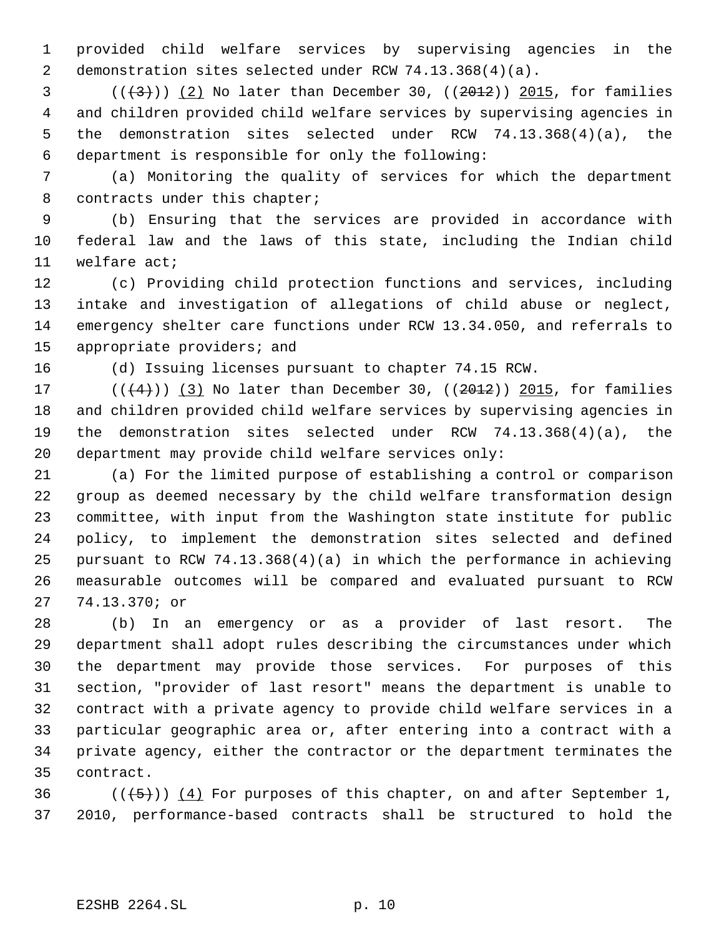provided child welfare services by supervising agencies in the demonstration sites selected under RCW 74.13.368(4)(a).

 ( $(\frac{23}{3})$ ) (2) No later than December 30, ( $(\frac{2012}{3})$ ) 2015, for families and children provided child welfare services by supervising agencies in the demonstration sites selected under RCW 74.13.368(4)(a), the department is responsible for only the following:

 (a) Monitoring the quality of services for which the department 8 contracts under this chapter;

 (b) Ensuring that the services are provided in accordance with federal law and the laws of this state, including the Indian child welfare act;

 (c) Providing child protection functions and services, including intake and investigation of allegations of child abuse or neglect, emergency shelter care functions under RCW 13.34.050, and referrals to appropriate providers; and

(d) Issuing licenses pursuant to chapter 74.15 RCW.

17 ( $($  $($  $($  $($  $4$  $)$  $)$   $($   $3$  $)$  No later than December 30, ( $($  $2012$  $)$ )  $2015$ , for families and children provided child welfare services by supervising agencies in the demonstration sites selected under RCW 74.13.368(4)(a), the department may provide child welfare services only:

 (a) For the limited purpose of establishing a control or comparison group as deemed necessary by the child welfare transformation design committee, with input from the Washington state institute for public policy, to implement the demonstration sites selected and defined pursuant to RCW 74.13.368(4)(a) in which the performance in achieving measurable outcomes will be compared and evaluated pursuant to RCW 74.13.370; or

 (b) In an emergency or as a provider of last resort. The department shall adopt rules describing the circumstances under which the department may provide those services. For purposes of this section, "provider of last resort" means the department is unable to contract with a private agency to provide child welfare services in a particular geographic area or, after entering into a contract with a private agency, either the contractor or the department terminates the contract.

36  $((+5))$   $(4)$  For purposes of this chapter, on and after September 1, 2010, performance-based contracts shall be structured to hold the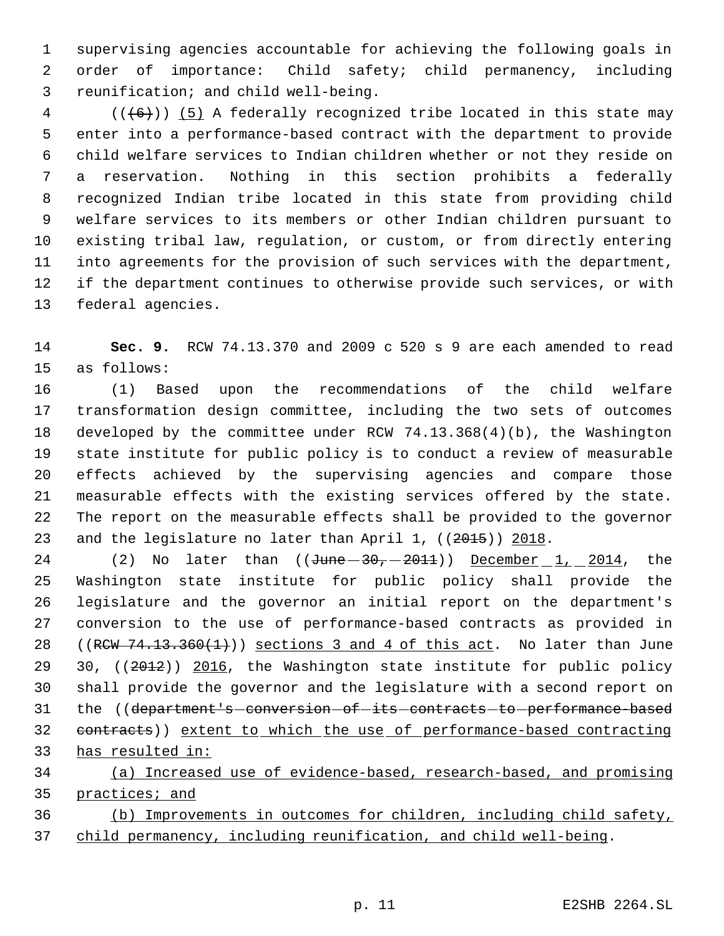supervising agencies accountable for achieving the following goals in order of importance: Child safety; child permanency, including reunification; and child well-being.

 (( $(6)$ )) (5) A federally recognized tribe located in this state may enter into a performance-based contract with the department to provide child welfare services to Indian children whether or not they reside on a reservation. Nothing in this section prohibits a federally recognized Indian tribe located in this state from providing child welfare services to its members or other Indian children pursuant to existing tribal law, regulation, or custom, or from directly entering into agreements for the provision of such services with the department, if the department continues to otherwise provide such services, or with federal agencies.

 **Sec. 9.** RCW 74.13.370 and 2009 c 520 s 9 are each amended to read as follows:

 (1) Based upon the recommendations of the child welfare transformation design committee, including the two sets of outcomes developed by the committee under RCW 74.13.368(4)(b), the Washington state institute for public policy is to conduct a review of measurable effects achieved by the supervising agencies and compare those measurable effects with the existing services offered by the state. The report on the measurable effects shall be provided to the governor 23 and the legislature no later than April 1, ((2015)) 2018.

24 (2) No later than  $((\text{June} - 30, -2011))$  December 1, 2014, the Washington state institute for public policy shall provide the legislature and the governor an initial report on the department's conversion to the use of performance-based contracts as provided in 28 ((RCW  $74.13.360(1)$ )) sections 3 and 4 of this act. No later than June 29 30, ((2012)) 2016, the Washington state institute for public policy shall provide the governor and the legislature with a second report on 31 the ((department's-conversion-of-its-contracts-to-performance-based contracts)) extent to which the use of performance-based contracting has resulted in:

 (a) Increased use of evidence-based, research-based, and promising 35 practices; and

 (b) Improvements in outcomes for children, including child safety, child permanency, including reunification, and child well-being.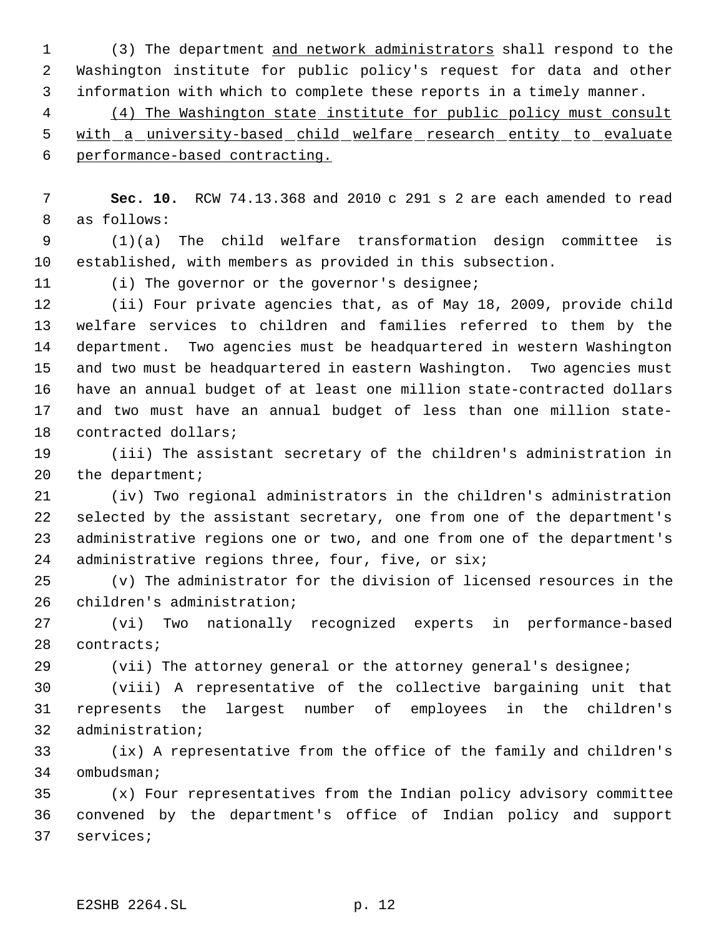1 (3) The department and network administrators shall respond to the Washington institute for public policy's request for data and other information with which to complete these reports in a timely manner.

 (4) The Washington state institute for public policy must consult 5 with a university-based child welfare research entity to evaluate performance-based contracting.

 **Sec. 10.** RCW 74.13.368 and 2010 c 291 s 2 are each amended to read as follows:

 (1)(a) The child welfare transformation design committee is established, with members as provided in this subsection.

(i) The governor or the governor's designee;

 (ii) Four private agencies that, as of May 18, 2009, provide child welfare services to children and families referred to them by the department. Two agencies must be headquartered in western Washington and two must be headquartered in eastern Washington. Two agencies must have an annual budget of at least one million state-contracted dollars and two must have an annual budget of less than one million state-contracted dollars;

 (iii) The assistant secretary of the children's administration in 20 the department;

 (iv) Two regional administrators in the children's administration selected by the assistant secretary, one from one of the department's administrative regions one or two, and one from one of the department's administrative regions three, four, five, or six;

 (v) The administrator for the division of licensed resources in the children's administration;

 (vi) Two nationally recognized experts in performance-based contracts;

(vii) The attorney general or the attorney general's designee;

 (viii) A representative of the collective bargaining unit that represents the largest number of employees in the children's administration;

 (ix) A representative from the office of the family and children's ombudsman;

 (x) Four representatives from the Indian policy advisory committee convened by the department's office of Indian policy and support services;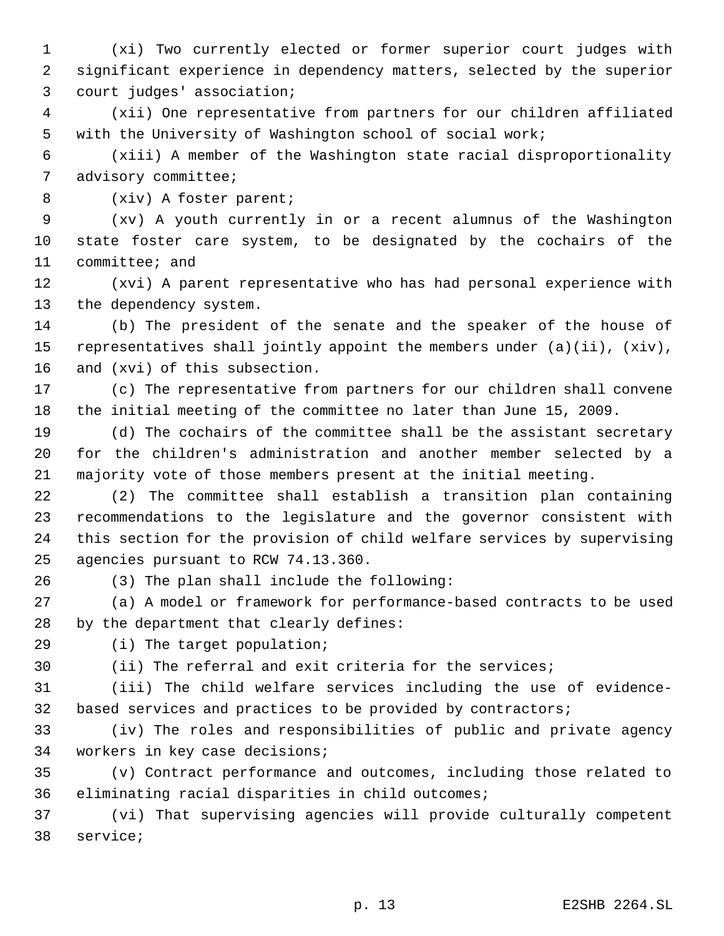(xi) Two currently elected or former superior court judges with significant experience in dependency matters, selected by the superior court judges' association;

 (xii) One representative from partners for our children affiliated with the University of Washington school of social work;

 (xiii) A member of the Washington state racial disproportionality advisory committee;

(xiv) A foster parent;

 (xv) A youth currently in or a recent alumnus of the Washington state foster care system, to be designated by the cochairs of the committee; and

 (xvi) A parent representative who has had personal experience with the dependency system.

 (b) The president of the senate and the speaker of the house of representatives shall jointly appoint the members under (a)(ii), (xiv), and (xvi) of this subsection.

 (c) The representative from partners for our children shall convene the initial meeting of the committee no later than June 15, 2009.

 (d) The cochairs of the committee shall be the assistant secretary for the children's administration and another member selected by a majority vote of those members present at the initial meeting.

 (2) The committee shall establish a transition plan containing recommendations to the legislature and the governor consistent with this section for the provision of child welfare services by supervising agencies pursuant to RCW 74.13.360.

(3) The plan shall include the following:

 (a) A model or framework for performance-based contracts to be used by the department that clearly defines:

(i) The target population;

(ii) The referral and exit criteria for the services;

 (iii) The child welfare services including the use of evidence-32 based services and practices to be provided by contractors;

 (iv) The roles and responsibilities of public and private agency workers in key case decisions;

 (v) Contract performance and outcomes, including those related to eliminating racial disparities in child outcomes;

 (vi) That supervising agencies will provide culturally competent service;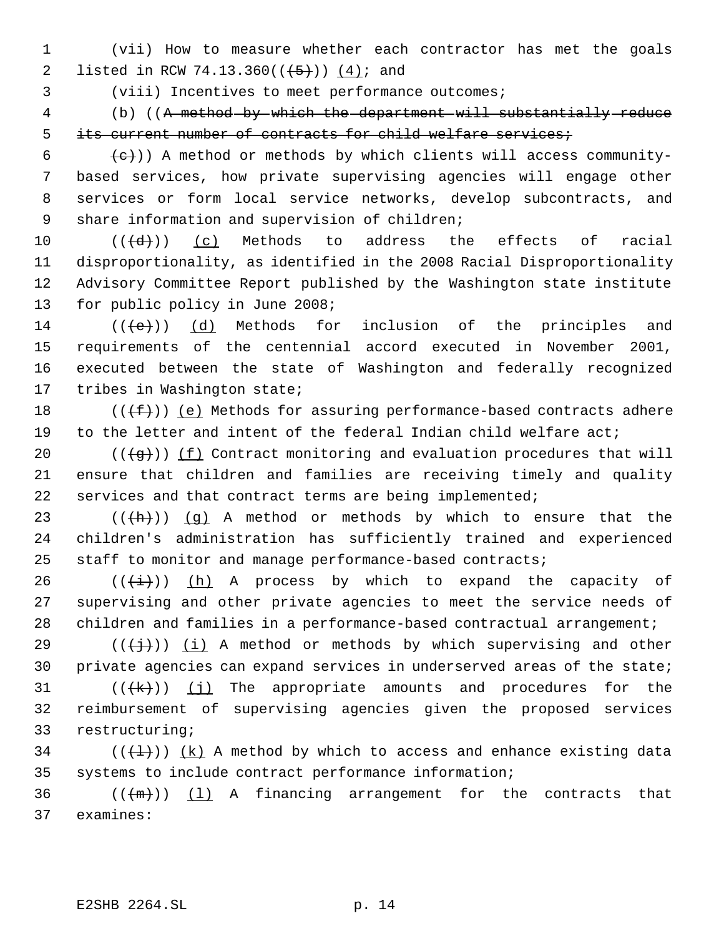(vii) How to measure whether each contractor has met the goals 2 listed in RCW 74.13.360( $(\frac{+5}{})$ )  $(4)$ ; and

(viii) Incentives to meet performance outcomes;

 (b) ((A method by which the department will substantially reduce 5 its current number of contracts for child welfare services;

 (e)) A method or methods by which clients will access community- based services, how private supervising agencies will engage other services or form local service networks, develop subcontracts, and 9 share information and supervision of children;

 $((\{d\})$  (c) Methods to address the effects of racial disproportionality, as identified in the 2008 Racial Disproportionality Advisory Committee Report published by the Washington state institute for public policy in June 2008;

 $((\{e\})$  (d) Methods for inclusion of the principles and requirements of the centennial accord executed in November 2001, executed between the state of Washington and federally recognized tribes in Washington state;

18 ( $(\overline{f})$ ) (e) Methods for assuring performance-based contracts adhere to the letter and intent of the federal Indian child welfare act;

20  $((\overline{g}))$   $(f)$  Contract monitoring and evaluation procedures that will ensure that children and families are receiving timely and quality services and that contract terms are being implemented;

23 ( $(\overline{h})$ ) (g) A method or methods by which to ensure that the children's administration has sufficiently trained and experienced staff to monitor and manage performance-based contracts;

26 ( $(\frac{1}{1})$ ) (h) A process by which to expand the capacity of supervising and other private agencies to meet the service needs of 28 children and families in a performance-based contractual arrangement;

29 ( $(\frac{1}{2})$ ) (i) A method or methods by which supervising and other private agencies can expand services in underserved areas of the state;

31  $((\{k\})$   $(j)$  The appropriate amounts and procedures for the reimbursement of supervising agencies given the proposed services restructuring;

34 ( $(\{\pm\})$ ) (k) A method by which to access and enhance existing data systems to include contract performance information;

36  $((+m))$  (1) A financing arrangement for the contracts that examines: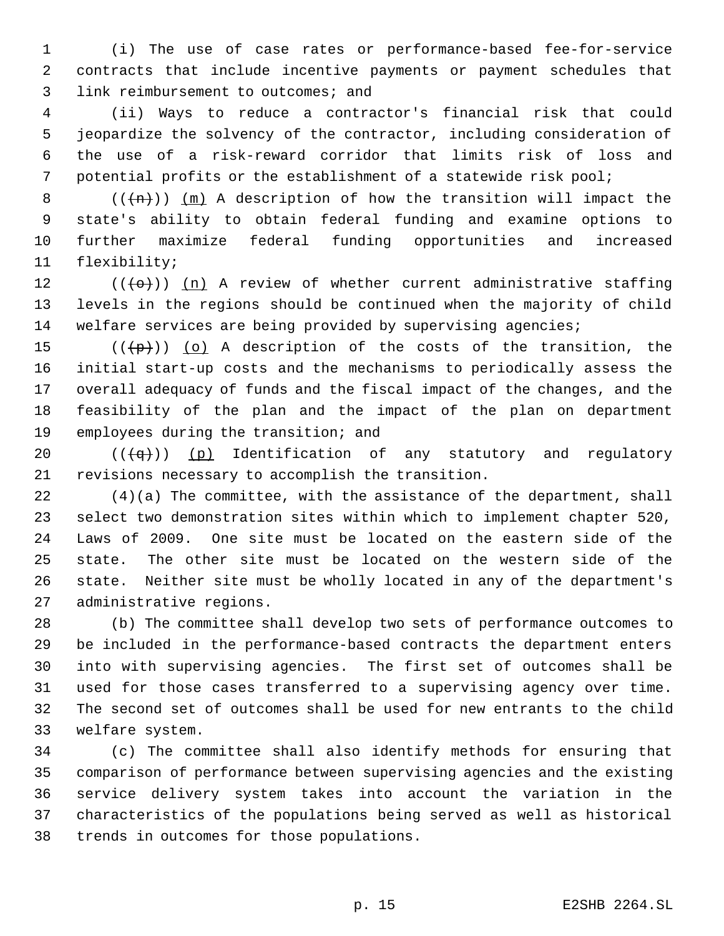(i) The use of case rates or performance-based fee-for-service contracts that include incentive payments or payment schedules that 3 link reimbursement to outcomes; and

 (ii) Ways to reduce a contractor's financial risk that could jeopardize the solvency of the contractor, including consideration of the use of a risk-reward corridor that limits risk of loss and potential profits or the establishment of a statewide risk pool;

 $((+n))$   $(m)$  A description of how the transition will impact the state's ability to obtain federal funding and examine options to further maximize federal funding opportunities and increased flexibility;

12  $((+e+))$  (n) A review of whether current administrative staffing levels in the regions should be continued when the majority of child welfare services are being provided by supervising agencies;

 $((+p))$  (o) A description of the costs of the transition, the initial start-up costs and the mechanisms to periodically assess the overall adequacy of funds and the fiscal impact of the changes, and the feasibility of the plan and the impact of the plan on department employees during the transition; and

 $((\{q\})$  (p) Identification of any statutory and regulatory revisions necessary to accomplish the transition.

 (4)(a) The committee, with the assistance of the department, shall select two demonstration sites within which to implement chapter 520, Laws of 2009. One site must be located on the eastern side of the state. The other site must be located on the western side of the state. Neither site must be wholly located in any of the department's administrative regions.

 (b) The committee shall develop two sets of performance outcomes to be included in the performance-based contracts the department enters into with supervising agencies. The first set of outcomes shall be used for those cases transferred to a supervising agency over time. The second set of outcomes shall be used for new entrants to the child welfare system.

 (c) The committee shall also identify methods for ensuring that comparison of performance between supervising agencies and the existing service delivery system takes into account the variation in the characteristics of the populations being served as well as historical trends in outcomes for those populations.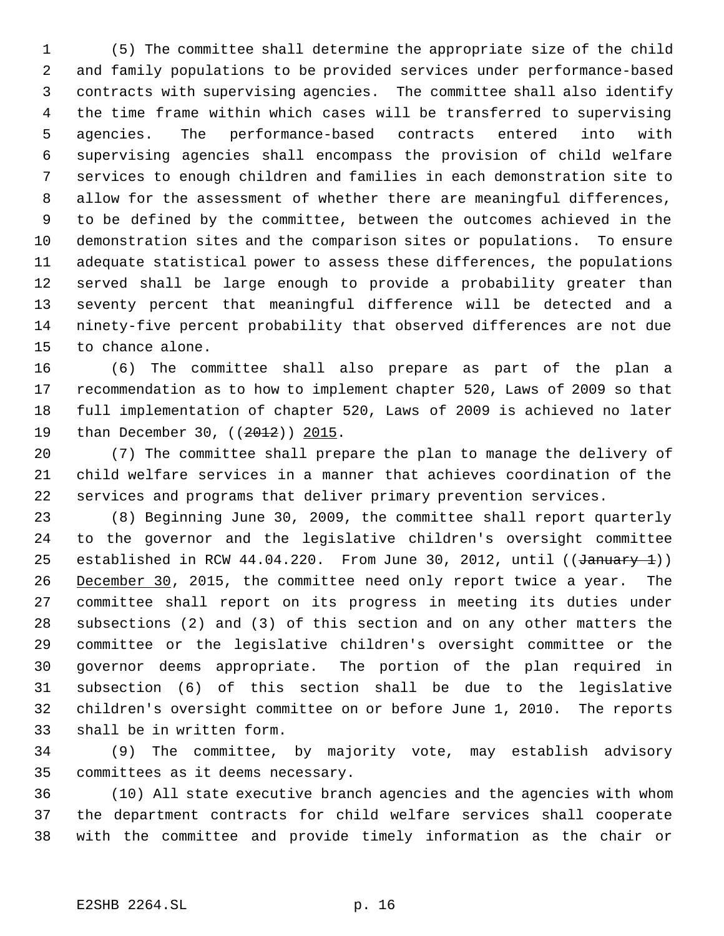(5) The committee shall determine the appropriate size of the child and family populations to be provided services under performance-based contracts with supervising agencies. The committee shall also identify the time frame within which cases will be transferred to supervising agencies. The performance-based contracts entered into with supervising agencies shall encompass the provision of child welfare services to enough children and families in each demonstration site to allow for the assessment of whether there are meaningful differences, to be defined by the committee, between the outcomes achieved in the demonstration sites and the comparison sites or populations. To ensure adequate statistical power to assess these differences, the populations served shall be large enough to provide a probability greater than seventy percent that meaningful difference will be detected and a ninety-five percent probability that observed differences are not due to chance alone.

 (6) The committee shall also prepare as part of the plan a recommendation as to how to implement chapter 520, Laws of 2009 so that full implementation of chapter 520, Laws of 2009 is achieved no later 19 than December 30, ((2012)) 2015.

 (7) The committee shall prepare the plan to manage the delivery of child welfare services in a manner that achieves coordination of the services and programs that deliver primary prevention services.

 (8) Beginning June 30, 2009, the committee shall report quarterly to the governor and the legislative children's oversight committee 25 established in RCW 44.04.220. From June 30, 2012, until ((January 1)) 26 December 30, 2015, the committee need only report twice a year. The committee shall report on its progress in meeting its duties under subsections (2) and (3) of this section and on any other matters the committee or the legislative children's oversight committee or the governor deems appropriate. The portion of the plan required in subsection (6) of this section shall be due to the legislative children's oversight committee on or before June 1, 2010. The reports shall be in written form.

 (9) The committee, by majority vote, may establish advisory committees as it deems necessary.

 (10) All state executive branch agencies and the agencies with whom the department contracts for child welfare services shall cooperate with the committee and provide timely information as the chair or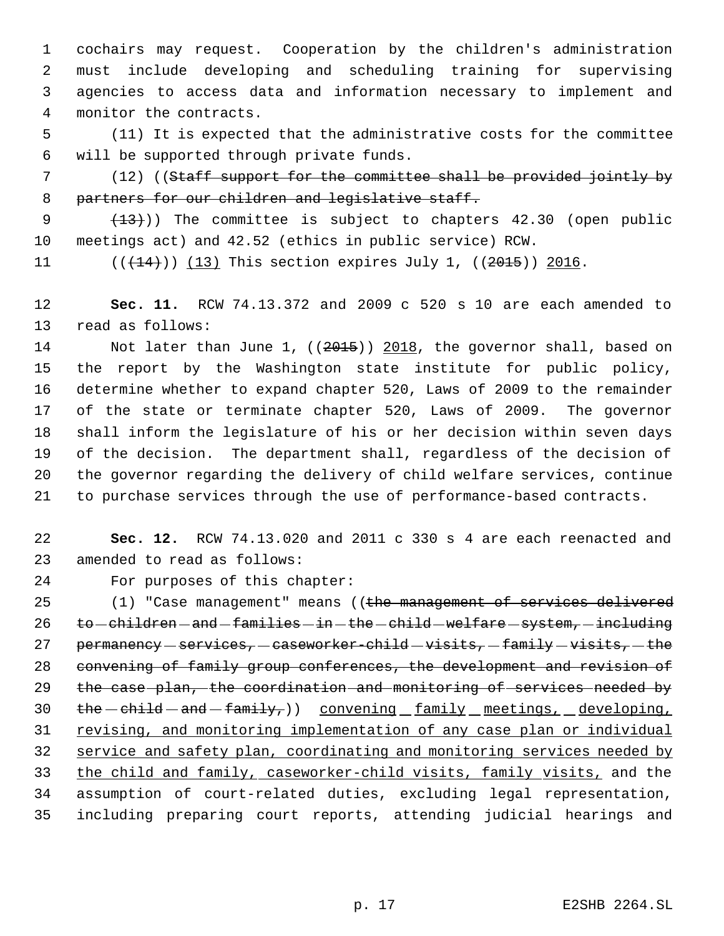cochairs may request. Cooperation by the children's administration must include developing and scheduling training for supervising agencies to access data and information necessary to implement and monitor the contracts.

 (11) It is expected that the administrative costs for the committee will be supported through private funds.

 (12) ((Staff support for the committee shall be provided jointly by 8 partners for our children and legislative staff.

9 (13)) The committee is subject to chapters 42.30 (open public meetings act) and 42.52 (ethics in public service) RCW.

11  $((+14))$   $(13)$  This section expires July 1,  $((2015))$  2016.

 **Sec. 11.** RCW 74.13.372 and 2009 c 520 s 10 are each amended to read as follows:

14 Not later than June 1, ((2015)) 2018, the governor shall, based on the report by the Washington state institute for public policy, determine whether to expand chapter 520, Laws of 2009 to the remainder of the state or terminate chapter 520, Laws of 2009. The governor shall inform the legislature of his or her decision within seven days of the decision. The department shall, regardless of the decision of the governor regarding the delivery of child welfare services, continue to purchase services through the use of performance-based contracts.

 **Sec. 12.** RCW 74.13.020 and 2011 c 330 s 4 are each reenacted and amended to read as follows:

For purposes of this chapter:

25 (1) "Case management" means ((the management of services delivered 26 to -children - and -families - in - the -child - welfare - system, - including 27 permanency  $-$  services,  $-$  caseworker-child  $-$  visits,  $-$  family  $-$  visits,  $-$  the convening of family group conferences, the development and revision of the case plan, the coordination and monitoring of services needed by  $the$  -child - and - family,  $)$  convening family meetings, developing, revising, and monitoring implementation of any case plan or individual service and safety plan, coordinating and monitoring services needed by the child and family, caseworker-child visits, family visits, and the assumption of court-related duties, excluding legal representation, including preparing court reports, attending judicial hearings and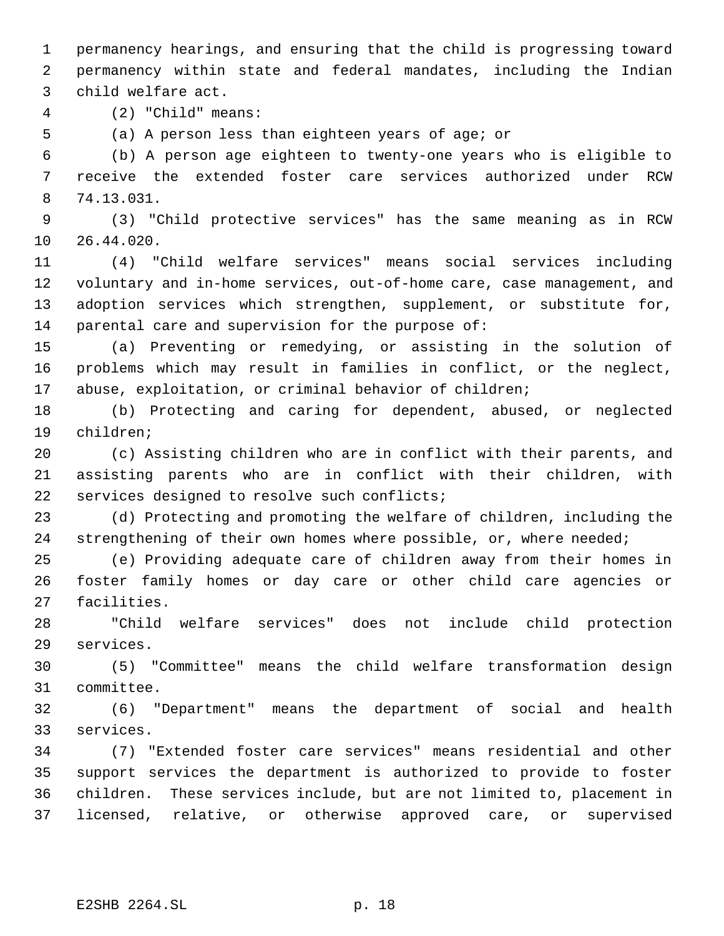permanency hearings, and ensuring that the child is progressing toward permanency within state and federal mandates, including the Indian child welfare act.

(2) "Child" means:

(a) A person less than eighteen years of age; or

 (b) A person age eighteen to twenty-one years who is eligible to receive the extended foster care services authorized under RCW 74.13.031.

 (3) "Child protective services" has the same meaning as in RCW 26.44.020.

 (4) "Child welfare services" means social services including voluntary and in-home services, out-of-home care, case management, and adoption services which strengthen, supplement, or substitute for, parental care and supervision for the purpose of:

 (a) Preventing or remedying, or assisting in the solution of problems which may result in families in conflict, or the neglect, abuse, exploitation, or criminal behavior of children;

 (b) Protecting and caring for dependent, abused, or neglected children;

 (c) Assisting children who are in conflict with their parents, and assisting parents who are in conflict with their children, with services designed to resolve such conflicts;

 (d) Protecting and promoting the welfare of children, including the 24 strengthening of their own homes where possible, or, where needed;

 (e) Providing adequate care of children away from their homes in foster family homes or day care or other child care agencies or facilities.

 "Child welfare services" does not include child protection services.

 (5) "Committee" means the child welfare transformation design committee.

 (6) "Department" means the department of social and health services.

 (7) "Extended foster care services" means residential and other support services the department is authorized to provide to foster children. These services include, but are not limited to, placement in licensed, relative, or otherwise approved care, or supervised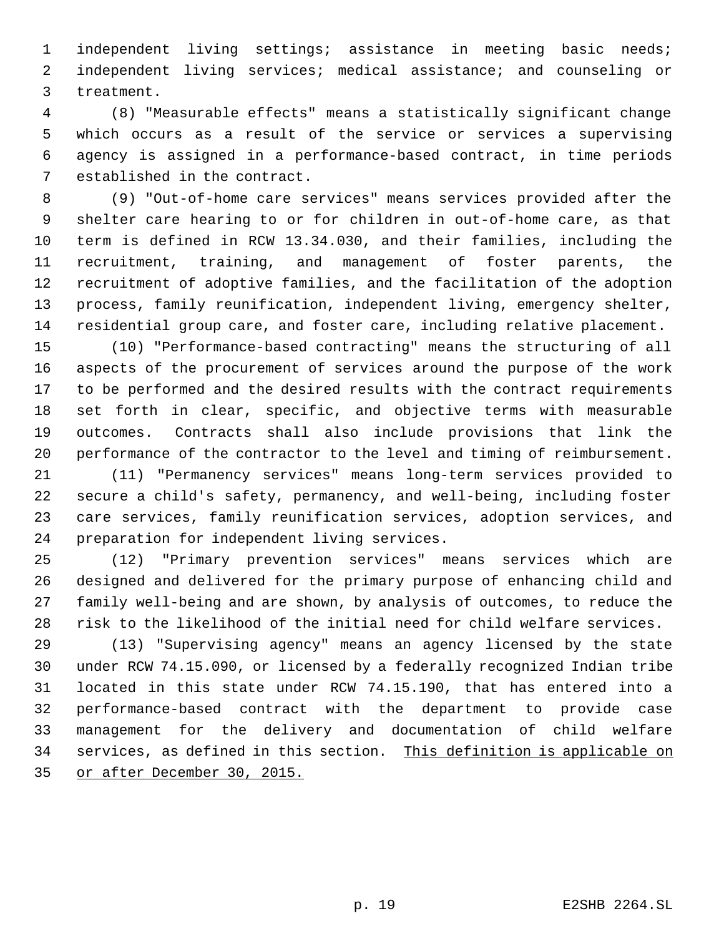independent living settings; assistance in meeting basic needs; independent living services; medical assistance; and counseling or treatment.

 (8) "Measurable effects" means a statistically significant change which occurs as a result of the service or services a supervising agency is assigned in a performance-based contract, in time periods established in the contract.

 (9) "Out-of-home care services" means services provided after the shelter care hearing to or for children in out-of-home care, as that term is defined in RCW 13.34.030, and their families, including the recruitment, training, and management of foster parents, the recruitment of adoptive families, and the facilitation of the adoption process, family reunification, independent living, emergency shelter, residential group care, and foster care, including relative placement.

 (10) "Performance-based contracting" means the structuring of all aspects of the procurement of services around the purpose of the work to be performed and the desired results with the contract requirements set forth in clear, specific, and objective terms with measurable outcomes. Contracts shall also include provisions that link the performance of the contractor to the level and timing of reimbursement.

 (11) "Permanency services" means long-term services provided to secure a child's safety, permanency, and well-being, including foster care services, family reunification services, adoption services, and preparation for independent living services.

 (12) "Primary prevention services" means services which are designed and delivered for the primary purpose of enhancing child and family well-being and are shown, by analysis of outcomes, to reduce the risk to the likelihood of the initial need for child welfare services.

 (13) "Supervising agency" means an agency licensed by the state under RCW 74.15.090, or licensed by a federally recognized Indian tribe located in this state under RCW 74.15.190, that has entered into a performance-based contract with the department to provide case management for the delivery and documentation of child welfare services, as defined in this section. This definition is applicable on or after December 30, 2015.